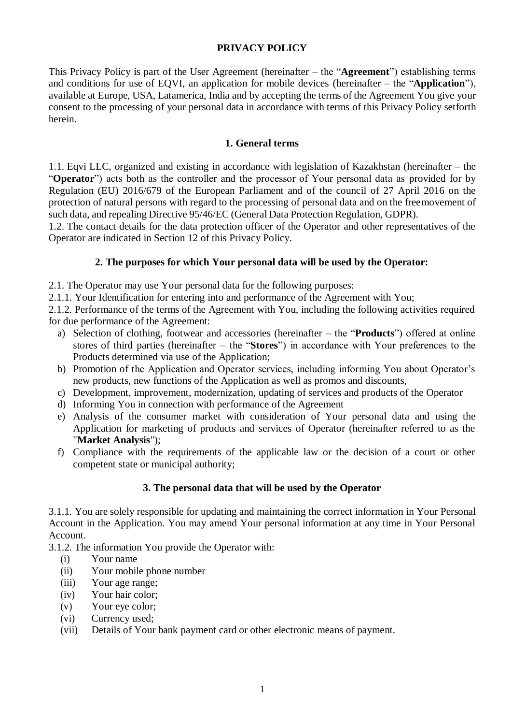# **PRIVACY POLICY**

This Privacy Policy is part of the User Agreement (hereinafter – the "**Agreement**") establishing terms and conditions for use of EQVI, an application for mobile devices (hereinafter – the "**Application**"), available at Europe, USA, Latamerica, India and by accepting the terms of the Agreement You give your consent to the processing of your personal data in accordance with terms of this Privacy Policy setforth herein.

### **1. General terms**

1.1. Eqvi LLC, organized and existing in accordance with legislation of Kazakhstan (hereinafter – the "**Operator**") acts both as the controller and the processor of Your personal data as provided for by Regulation (EU) 2016/679 of the European Parliament and of the council of 27 April 2016 on the protection of natural persons with regard to the processing of personal data and on the freemovement of such data, and repealing Directive 95/46/EC (General Data Protection Regulation, GDPR).

1.2. The contact details for the data protection officer of the Operator and other representatives of the Operator are indicated in Section 12 of this Privacy Policy.

#### **2. The purposes for which Your personal data will be used by the Operator:**

2.1. The Operator may use Your personal data for the following purposes:

2.1.1. Your Identification for entering into and performance of the Agreement with You;

2.1.2. Performance of the terms of the Agreement with You, including the following activities required for due performance of the Agreement:

- a) Selection of clothing, footwear and accessories (hereinafter the "**Products**") offered at online stores of third parties (hereinafter – the "**Stores**") in accordance with Your preferences to the Products determined via use of the Application;
- b) Promotion of the Application and Operator services, including informing You about Operator's new products, new functions of the Application as well as promos and discounts,
- c) Development, improvement, modernization, updating of services and products of the Operator
- d) Informing You in connection with performance of the Agreement
- e) Analysis of the consumer market with consideration of Your personal data and using the Application for marketing of products and services of Operator (hereinafter referred to as the "**Market Analysis**");
- f) Compliance with the requirements of the applicable law or the decision of a court or other competent state or municipal authority;

# **3. The personal data that will be used by the Operator**

3.1.1. You are solely responsible for updating and maintaining the correct information in Your Personal Account in the Application. You may amend Your personal information at any time in Your Personal Account.

3.1.2. The information You provide the Operator with:

- (i) Your name
- (ii) Your mobile phone number
- (iii) Your age range;
- (iv) Your hair color;
- (v) Your eye color;
- (vi) Currency used;
- (vii) Details of Your bank payment card or other electronic means of payment.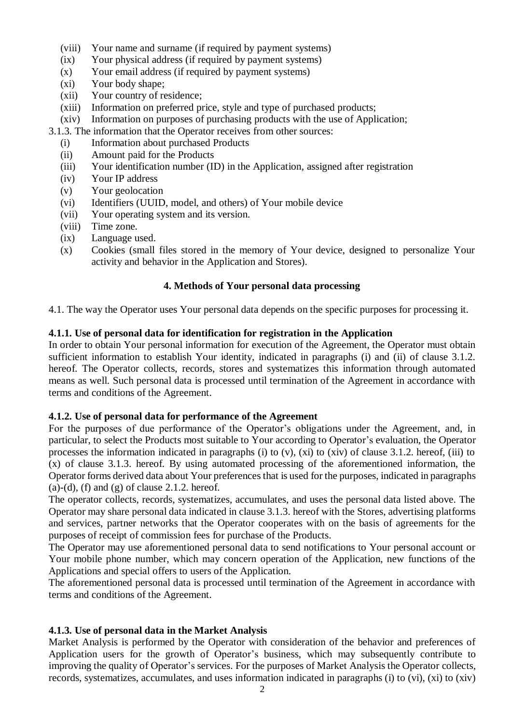- (viii) Your name and surname (if required by payment systems)
- (ix) Your physical address (if required by payment systems)
- (x) Your email address (if required by payment systems)
- (xi) Your body shape;
- (xii) Your country of residence;
- (xiii) Information on preferred price, style and type of purchased products;
- (xiv) Information on purposes of purchasing products with the use of Application;
- 3.1.3. The information that the Operator receives from other sources:
	- (i) Information about purchased Products
	- (ii) Amount paid for the Products
	- (iii) Your identification number (ID) in the Application, assigned after registration
	- (iv) Your IP address
	- (v) Your geolocation
	- (vi) Identifiers (UUID, model, and others) of Your mobile device
	- (vii) Your operating system and its version.
	- (viii) Time zone.
	- (ix) Language used.
	- (x) Cookies (small files stored in the memory of Your device, designed to personalize Your activity and behavior in the Application and Stores).

# **4. Methods of Your personal data processing**

4.1. The way the Operator uses Your personal data depends on the specific purposes for processing it.

# **4.1.1. Use of personal data for identification for registration in the Application**

In order to obtain Your personal information for execution of the Agreement, the Operator must obtain sufficient information to establish Your identity, indicated in paragraphs (i) and (ii) of clause 3.1.2. hereof. The Operator collects, records, stores and systematizes this information through automated means as well. Such personal data is processed until termination of the Agreement in accordance with terms and conditions of the Agreement.

# **4.1.2. Use of personal data for performance of the Agreement**

For the purposes of due performance of the Operator's obligations under the Agreement, and, in particular, to select the Products most suitable to Your according to Operator's evaluation, the Operator processes the information indicated in paragraphs (i) to (v), (xi) to (xiv) of clause 3.1.2. hereof, (iii) to (x) of clause 3.1.3. hereof. By using automated processing of the aforementioned information, the Operator forms derived data about Your preferences that is used for the purposes, indicated in paragraphs  $(a)-(d)$ ,  $(f)$  and  $(g)$  of clause 2.1.2. hereof.

The operator collects, records, systematizes, accumulates, and uses the personal data listed above. The Operator may share personal data indicated in clause 3.1.3. hereof with the Stores, advertising platforms and services, partner networks that the Operator cooperates with on the basis of agreements for the purposes of receipt of commission fees for purchase of the Products.

The Operator may use aforementioned personal data to send notifications to Your personal account or Your mobile phone number, which may concern operation of the Application, new functions of the Applications and special offers to users of the Application.

The aforementioned personal data is processed until termination of the Agreement in accordance with terms and conditions of the Agreement.

# **4.1.3. Use of personal data in the Market Analysis**

Market Analysis is performed by the Operator with consideration of the behavior and preferences of Application users for the growth of Operator's business, which may subsequently contribute to improving the quality of Operator's services. For the purposes of Market Analysis the Operator collects, records, systematizes, accumulates, and uses information indicated in paragraphs (i) to (vi), (xi) to (xiv)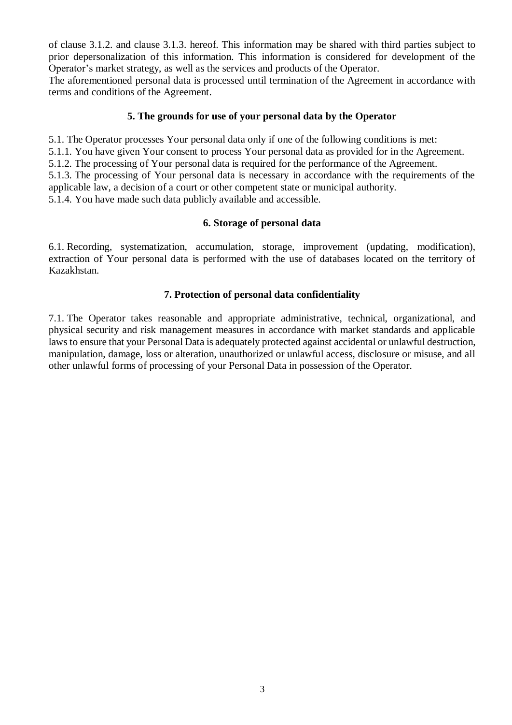of clause 3.1.2. and clause 3.1.3. hereof. This information may be shared with third parties subject to prior depersonalization of this information. This information is considered for development of the Operator's market strategy, as well as the services and products of the Operator.

The aforementioned personal data is processed until termination of the Agreement in accordance with terms and conditions of the Agreement.

### **5. The grounds for use of your personal data by the Operator**

5.1. The Operator processes Your personal data only if one of the following conditions is met:

5.1.1. You have given Your consent to process Your personal data as provided for in the Agreement.

5.1.2. The processing of Your personal data is required for the performance of the Agreement.

5.1.3. The processing of Your personal data is necessary in accordance with the requirements of the applicable law, a decision of a court or other competent state or municipal authority.

5.1.4. You have made such data publicly available and accessible.

#### **6. Storage of personal data**

6.1. Recording, systematization, accumulation, storage, improvement (updating, modification), extraction of Your personal data is performed with the use of databases located on the territory of Kazakhstan.

# **7. Protection of personal data confidentiality**

7.1. The Operator takes reasonable and appropriate administrative, technical, organizational, and physical security and risk management measures in accordance with market standards and applicable lawsto ensure that your Personal Data is adequately protected against accidental or unlawful destruction, manipulation, damage, loss or alteration, unauthorized or unlawful access, disclosure or misuse, and all other unlawful forms of processing of your Personal Data in possession of the Operator.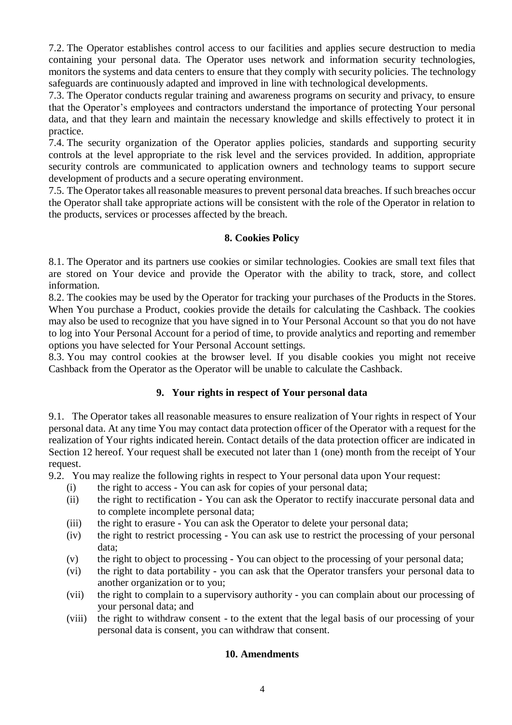7.2. The Operator establishes control access to our facilities and applies secure destruction to media containing your personal data. The Operator uses network and information security technologies, monitors the systems and data centers to ensure that they comply with security policies. The technology safeguards are continuously adapted and improved in line with technological developments.

7.3. The Operator conducts regular training and awareness programs on security and privacy, to ensure that the Operator's employees and contractors understand the importance of protecting Your personal data, and that they learn and maintain the necessary knowledge and skills effectively to protect it in practice.

7.4. The security organization of the Operator applies policies, standards and supporting security controls at the level appropriate to the risk level and the services provided. In addition, appropriate security controls are communicated to application owners and technology teams to support secure development of products and a secure operating environment.

7.5. The Operator takes all reasonable measures to prevent personal data breaches. If such breaches occur the Operator shall take appropriate actions will be consistent with the role of the Operator in relation to the products, services or processes affected by the breach.

# **8. Cookies Policy**

8.1. The Operator and its partners use cookies or similar technologies. Cookies are small text files that are stored on Your device and provide the Operator with the ability to track, store, and collect information.

8.2. The cookies may be used by the Operator for tracking your purchases of the Products in the Stores. When You purchase a Product, cookies provide the details for calculating the Cashback. The cookies may also be used to recognize that you have signed in to Your Personal Account so that you do not have to log into Your Personal Account for a period of time, to provide analytics and reporting and remember options you have selected for Your Personal Account settings.

8.3. You may control cookies at the browser level. If you disable cookies you might not receive Cashback from the Operator as the Operator will be unable to calculate the Cashback.

# **9. Your rights in respect of Your personal data**

9.1. The Operator takes all reasonable measures to ensure realization of Your rights in respect of Your personal data. At any time You may contact data protection officer of the Operator with a request for the realization of Your rights indicated herein. Contact details of the data protection officer are indicated in Section 12 hereof. Your request shall be executed not later than 1 (one) month from the receipt of Your request.

9.2. You may realize the following rights in respect to Your personal data upon Your request:

- (i) the right to access You can ask for copies of your personal data;
- (ii) the right to rectification You can ask the Operator to rectify inaccurate personal data and to complete incomplete personal data;
- (iii) the right to erasure You can ask the Operator to delete your personal data;
- (iv) the right to restrict processing You can ask use to restrict the processing of your personal data;
- (v) the right to object to processing You can object to the processing of your personal data;
- (vi) the right to data portability you can ask that the Operator transfers your personal data to another organization or to you;
- (vii) the right to complain to a supervisory authority you can complain about our processing of your personal data; and
- (viii) the right to withdraw consent to the extent that the legal basis of our processing of your personal data is consent, you can withdraw that consent.

#### **10. Amendments**